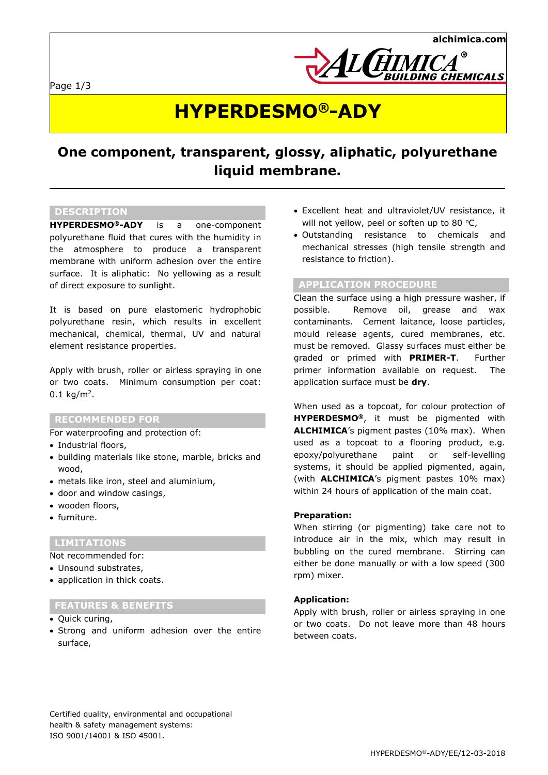Page 1/3



## **HYPERDESMO®-ADY**

### **One component, transparent, glossy, aliphatic, polyurethane liquid membrane.**

#### **DESCRIPTION**

**HYPERDESMO®-ADY** is a one-component polyurethane fluid that cures with the humidity in the atmosphere to produce a transparent membrane with uniform adhesion over the entire surface. It is aliphatic: No yellowing as a result of direct exposure to sunlight.

It is based on pure elastomeric hydrophobic polyurethane resin, which results in excellent mechanical, chemical, thermal, UV and natural element resistance properties.

Apply with brush, roller or airless spraying in one or two coats. Minimum consumption per coat:  $0.1 \text{ kg/m}^2$ .

#### **RECOMMENDED FOR**

For waterproofing and protection of:

- Industrial floors,
- building materials like stone, marble, bricks and wood,
- metals like iron, steel and aluminium,
- door and window casings,
- wooden floors,
- furniture.

#### **LIMITATIONS**

Not recommended for:

- Unsound substrates,
- application in thick coats.

#### **FEATURES & BENEFITS**

- Quick curing,
- Strong and uniform adhesion over the entire surface,
- Excellent heat and ultraviolet/UV resistance, it will not yellow, peel or soften up to 80  $°C$ ,
- Outstanding resistance to chemicals and mechanical stresses (high tensile strength and resistance to friction).

#### **APPLICATION PROCEDURE**

Clean the surface using a high pressure washer, if possible. Remove oil, grease and wax contaminants. Cement laitance, loose particles, mould release agents, cured membranes, etc. must be removed. Glassy surfaces must either be graded or primed with **PRIMER-T**. Further primer information available on request. The application surface must be **dry**.

When used as a topcoat, for colour protection of **HYPERDESMO®**, it must be pigmented with **ALCHIMICA**'s pigment pastes (10% max). When used as a topcoat to a flooring product, e.g. epoxy/polyurethane paint or self-levelling systems, it should be applied pigmented, again, (with **ALCHIMICA**'s pigment pastes 10% max) within 24 hours of application of the main coat.

#### **Preparation:**

When stirring (or pigmenting) take care not to introduce air in the mix, which may result in bubbling on the cured membrane. Stirring can either be done manually or with a low speed (300 rpm) mixer.

#### **Application:**

Apply with brush, roller or airless spraying in one or two coats. Do not leave more than 48 hours between coats.

Certified quality, environmental and occupational health & safety management systems: ISO 9001/14001 & ISO 45001.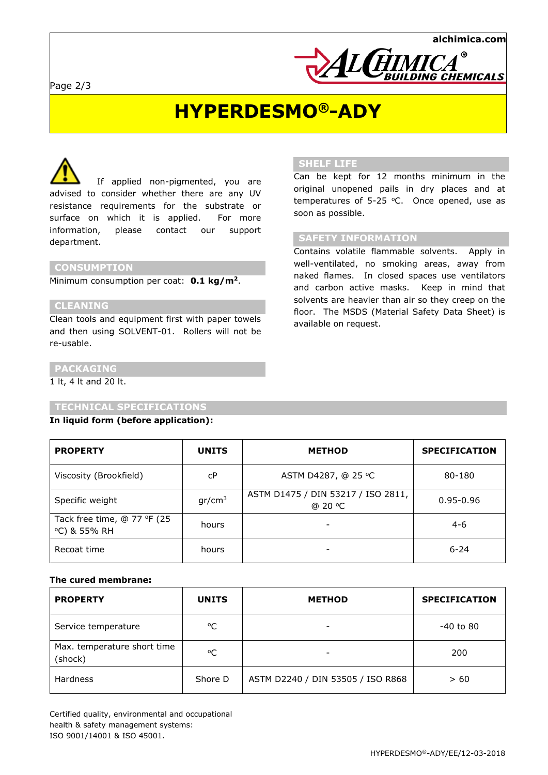

### **HYPERDESMO®-ADY**

 If applied non-pigmented, you are advised to consider whether there are any UV resistance requirements for the substrate or surface on which it is applied. For more information, please contact our support department.

#### **CONSUMPTION**

Minimum consumption per coat: **0.1 kg/m<sup>2</sup>**.

#### **CLEANING**

Clean tools and equipment first with paper towels and then using SOLVENT-01. Rollers will not be re-usable.

#### **SHELF LIFE**

Can be kept for 12 months minimum in the original unopened pails in dry places and at temperatures of 5-25  $°C$ . Once opened, use as soon as possible.

#### **SAFETY INFORMATION**

Contains volatile flammable solvents. Apply in well-ventilated, no smoking areas, away from naked flames. In closed spaces use ventilators and carbon active masks. Keep in mind that solvents are heavier than air so they creep on the floor. The MSDS (Material Safety Data Sheet) is available on request.

#### **PACKAGING**

1 lt, 4 lt and 20 lt.

#### **TECHNICAL SPECIFICATIONS**

#### **In liquid form (before application):**

| <b>PROPERTY</b>                             | <b>UNITS</b>       | <b>METHOD</b>                                 | <b>SPECIFICATION</b> |
|---------------------------------------------|--------------------|-----------------------------------------------|----------------------|
| Viscosity (Brookfield)                      | cP                 | ASTM D4287, @ 25 ℃                            | 80-180               |
| Specific weight                             | gr/cm <sup>3</sup> | ASTM D1475 / DIN 53217 / ISO 2811,<br>@ 20 °C | $0.95 - 0.96$        |
| Tack free time, @ 77 °F (25<br>°C) & 55% RH | hours              |                                               | $4-6$                |
| Recoat time                                 | hours              |                                               | $6 - 24$             |

#### **The cured membrane:**

| <b>PROPERTY</b>                        | <b>UNITS</b> | <b>METHOD</b>                     | <b>SPECIFICATION</b> |
|----------------------------------------|--------------|-----------------------------------|----------------------|
| Service temperature                    | °C           | $\overline{\phantom{a}}$          | -40 to 80            |
| Max. temperature short time<br>(shock) | °C           |                                   | 200                  |
| <b>Hardness</b>                        | Shore D      | ASTM D2240 / DIN 53505 / ISO R868 | > 60                 |

Certified quality, environmental and occupational health & safety management systems: ISO 9001/14001 & ISO 45001.